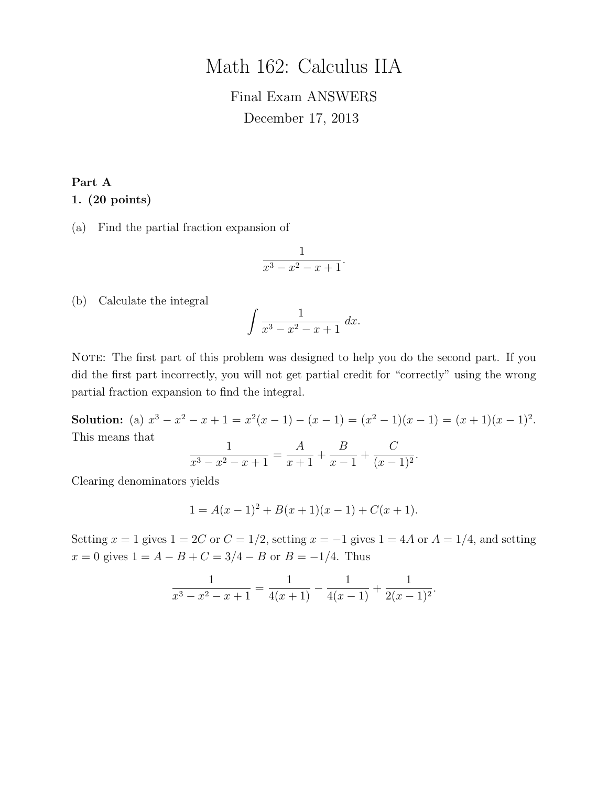# Math 162: Calculus IIA

# Final Exam ANSWERS December 17, 2013

# Part A 1. (20 points)

(a) Find the partial fraction expansion of

$$
\frac{1}{x^3 - x^2 - x + 1}.
$$

(b) Calculate the integral

$$
\int \frac{1}{x^3 - x^2 - x + 1} \, dx.
$$

NOTE: The first part of this problem was designed to help you do the second part. If you did the first part incorrectly, you will not get partial credit for "correctly" using the wrong partial fraction expansion to find the integral.

Solution: (a)  $x^3 - x^2 - x + 1 = x^2(x - 1) - (x - 1) = (x^2 - 1)(x - 1) = (x + 1)(x - 1)^2$ . This means that

$$
\frac{1}{x^3 - x^2 - x + 1} = \frac{A}{x + 1} + \frac{B}{x - 1} + \frac{C}{(x - 1)^2}
$$

.

Clearing denominators yields

$$
1 = A(x - 1)2 + B(x + 1)(x - 1) + C(x + 1).
$$

Setting  $x = 1$  gives  $1 = 2C$  or  $C = 1/2$ , setting  $x = -1$  gives  $1 = 4A$  or  $A = 1/4$ , and setting  $x = 0$  gives  $1 = A - B + C = 3/4 - B$  or  $B = -1/4$ . Thus

$$
\frac{1}{x^3 - x^2 - x + 1} = \frac{1}{4(x+1)} - \frac{1}{4(x-1)} + \frac{1}{2(x-1)^2}.
$$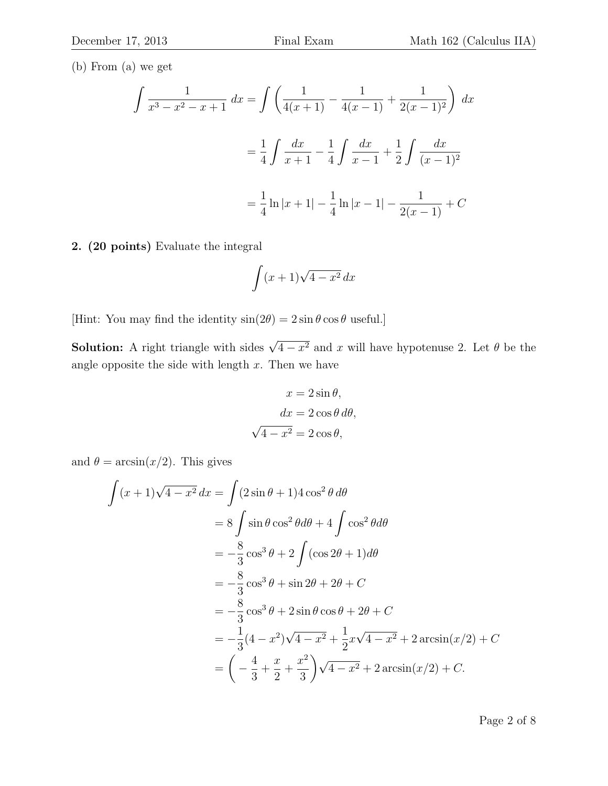(b) From (a) we get

$$
\int \frac{1}{x^3 - x^2 - x + 1} dx = \int \left( \frac{1}{4(x+1)} - \frac{1}{4(x-1)} + \frac{1}{2(x-1)^2} \right) dx
$$

$$
= \frac{1}{4} \int \frac{dx}{x+1} - \frac{1}{4} \int \frac{dx}{x-1} + \frac{1}{2} \int \frac{dx}{(x-1)^2}
$$

$$
= \frac{1}{4} \ln|x+1| - \frac{1}{4} \ln|x-1| - \frac{1}{2(x-1)} + C
$$

2. (20 points) Evaluate the integral

$$
\int (x+1)\sqrt{4-x^2}\,dx
$$

[Hint: You may find the identity  $\sin(2\theta) = 2\sin\theta\cos\theta$  useful.]

**Solution:** A right triangle with sides  $\sqrt{4-x^2}$  and x will have hypotenuse 2. Let  $\theta$  be the angle opposite the side with length  $x$ . Then we have

$$
x = 2\sin\theta,
$$
  
\n
$$
dx = 2\cos\theta \, d\theta,
$$
  
\n
$$
\sqrt{4 - x^2} = 2\cos\theta,
$$

and  $\theta = \arcsin(x/2)$ . This gives

$$
\int (x+1)\sqrt{4-x^2} \, dx = \int (2\sin\theta + 1)4\cos^2\theta \, d\theta
$$
  
=  $8 \int \sin\theta \cos^2\theta \, d\theta + 4 \int \cos^2\theta \, d\theta$   
=  $-\frac{8}{3}\cos^3\theta + 2 \int (\cos 2\theta + 1) \, d\theta$   
=  $-\frac{8}{3}\cos^3\theta + \sin 2\theta + 2\theta + C$   
=  $-\frac{8}{3}\cos^3\theta + 2\sin\theta\cos\theta + 2\theta + C$   
=  $-\frac{1}{3}(4-x^2)\sqrt{4-x^2} + \frac{1}{2}x\sqrt{4-x^2} + 2\arcsin(x/2) + C$   
=  $\left(-\frac{4}{3} + \frac{x}{2} + \frac{x^2}{3}\right)\sqrt{4-x^2} + 2\arcsin(x/2) + C$ .

Page 2 of 8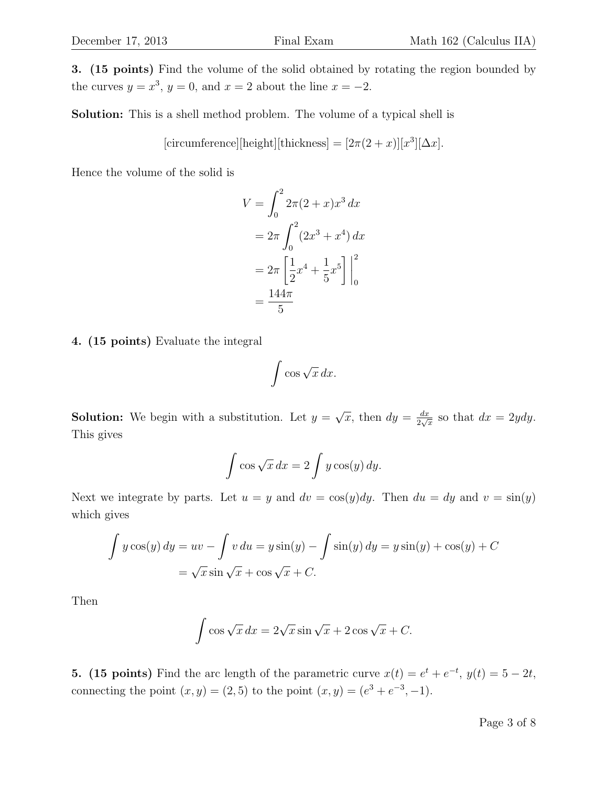Solution: This is a shell method problem. The volume of a typical shell is

[circumference][height][thickness] =  $[2\pi(2+x)][x^3][\Delta x]$ .

Hence the volume of the solid is

$$
V = \int_0^2 2\pi (2 + x)x^3 dx
$$
  
=  $2\pi \int_0^2 (2x^3 + x^4) dx$   
=  $2\pi \left[ \frac{1}{2} x^4 + \frac{1}{5} x^5 \right]_0^2$   
=  $\frac{144\pi}{5}$ 

4. (15 points) Evaluate the integral

$$
\int \cos \sqrt{x} \, dx.
$$

**Solution:** We begin with a substitution. Let  $y =$ √  $\overline{x}$ , then  $dy = \frac{dx}{2}$  $\frac{dx}{2\sqrt{x}}$  so that  $dx = 2ydy$ . This gives

$$
\int \cos \sqrt{x} \, dx = 2 \int y \cos(y) \, dy.
$$

Next we integrate by parts. Let  $u = y$  and  $dv = \cos(y)dy$ . Then  $du = dy$  and  $v = \sin(y)$ which gives

$$
\int y \cos(y) dy = uv - \int v du = y \sin(y) - \int \sin(y) dy = y \sin(y) + \cos(y) + C
$$

$$
= \sqrt{x} \sin \sqrt{x} + \cos \sqrt{x} + C.
$$

Then

$$
\int \cos\sqrt{x} \, dx = 2\sqrt{x} \sin\sqrt{x} + 2\cos\sqrt{x} + C.
$$

**5.** (15 points) Find the arc length of the parametric curve  $x(t) = e^t + e^{-t}$ ,  $y(t) = 5 - 2t$ , connecting the point  $(x, y) = (2, 5)$  to the point  $(x, y) = (e^{3} + e^{-3}, -1)$ .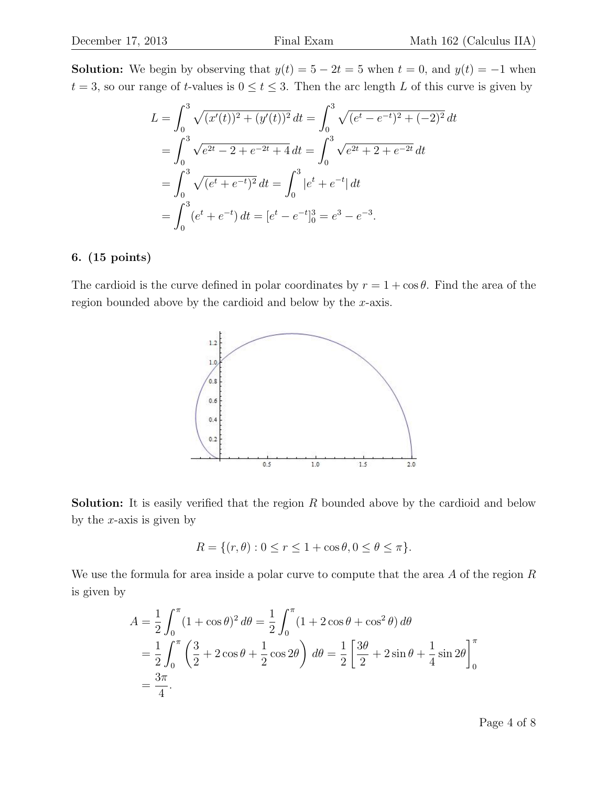**Solution:** We begin by observing that  $y(t) = 5 - 2t = 5$  when  $t = 0$ , and  $y(t) = -1$  when  $t = 3$ , so our range of t-values is  $0 \le t \le 3$ . Then the arc length L of this curve is given by

$$
L = \int_0^3 \sqrt{(x'(t))^2 + (y'(t))^2} dt = \int_0^3 \sqrt{(e^t - e^{-t})^2 + (-2)^2} dt
$$
  
= 
$$
\int_0^3 \sqrt{e^{2t} - 2 + e^{-2t} + 4} dt = \int_0^3 \sqrt{e^{2t} + 2 + e^{-2t}} dt
$$
  
= 
$$
\int_0^3 \sqrt{(e^t + e^{-t})^2} dt = \int_0^3 |e^t + e^{-t}| dt
$$
  
= 
$$
\int_0^3 (e^t + e^{-t}) dt = [e^t - e^{-t}]_0^3 = e^3 - e^{-3}.
$$

#### 6. (15 points)

The cardioid is the curve defined in polar coordinates by  $r = 1 + \cos \theta$ . Find the area of the region bounded above by the cardioid and below by the x-axis.



**Solution:** It is easily verified that the region  $R$  bounded above by the cardioid and below by the  $x$ -axis is given by

$$
R = \{(r, \theta) : 0 \le r \le 1 + \cos \theta, 0 \le \theta \le \pi\}.
$$

We use the formula for area inside a polar curve to compute that the area A of the region R is given by

$$
A = \frac{1}{2} \int_0^{\pi} (1 + \cos \theta)^2 d\theta = \frac{1}{2} \int_0^{\pi} (1 + 2 \cos \theta + \cos^2 \theta) d\theta
$$
  
=  $\frac{1}{2} \int_0^{\pi} \left( \frac{3}{2} + 2 \cos \theta + \frac{1}{2} \cos 2\theta \right) d\theta = \frac{1}{2} \left[ \frac{3\theta}{2} + 2 \sin \theta + \frac{1}{4} \sin 2\theta \right]_0^{\pi}$   
=  $\frac{3\pi}{4}$ .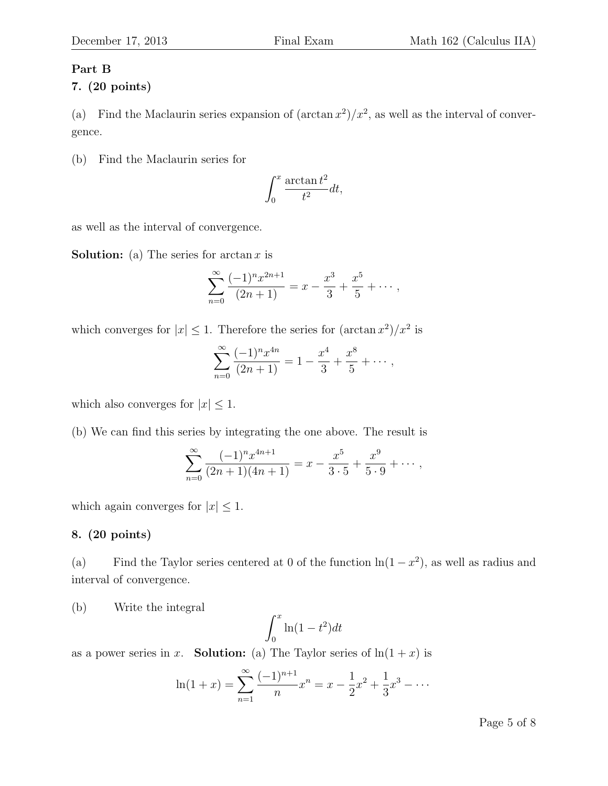# Part B

# 7. (20 points)

(a) Find the Maclaurin series expansion of  $(\arctan x^2)/x^2$ , as well as the interval of convergence.

(b) Find the Maclaurin series for

$$
\int_0^x \frac{\arctan t^2}{t^2} dt,
$$

as well as the interval of convergence.

**Solution:** (a) The series for  $\arctan x$  is

$$
\sum_{n=0}^{\infty} \frac{(-1)^n x^{2n+1}}{(2n+1)} = x - \frac{x^3}{3} + \frac{x^5}{5} + \cdots,
$$

which converges for  $|x| \leq 1$ . Therefore the series for  $(\arctan x^2)/x^2$  is

$$
\sum_{n=0}^{\infty} \frac{(-1)^n x^{4n}}{(2n+1)} = 1 - \frac{x^4}{3} + \frac{x^8}{5} + \cdots,
$$

which also converges for  $|x| \leq 1$ .

(b) We can find this series by integrating the one above. The result is

$$
\sum_{n=0}^{\infty} \frac{(-1)^n x^{4n+1}}{(2n+1)(4n+1)} = x - \frac{x^5}{3 \cdot 5} + \frac{x^9}{5 \cdot 9} + \cdots,
$$

which again converges for  $|x| \leq 1$ .

## 8. (20 points)

(a) Find the Taylor series centered at 0 of the function  $\ln(1-x^2)$ , as well as radius and interval of convergence.

(b) Write the integral

$$
\int_0^x \ln(1 - t^2) dt
$$

as a power series in x. **Solution:** (a) The Taylor series of  $\ln(1+x)$  is

$$
\ln(1+x) = \sum_{n=1}^{\infty} \frac{(-1)^{n+1}}{n} x^n = x - \frac{1}{2}x^2 + \frac{1}{3}x^3 - \dots
$$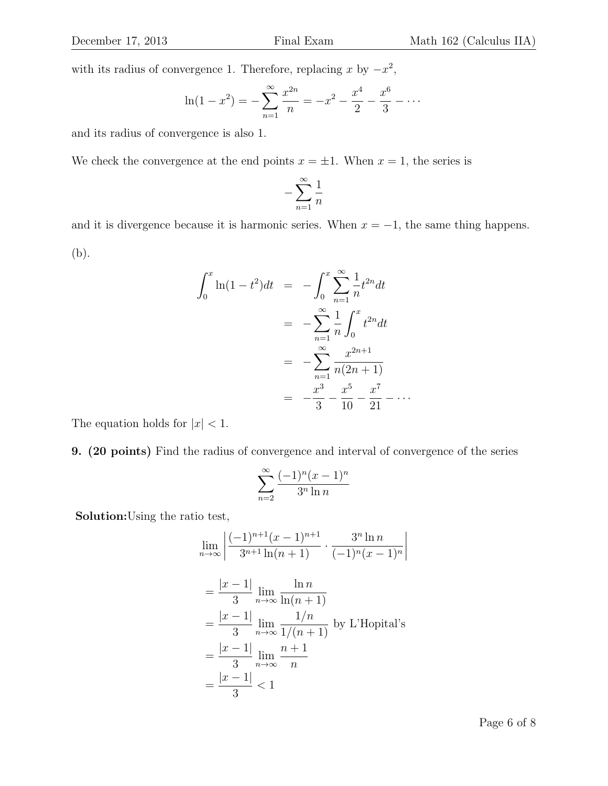with its radius of convergence 1. Therefore, replacing x by  $-x^2$ ,

$$
\ln(1 - x^2) = -\sum_{n=1}^{\infty} \frac{x^{2n}}{n} = -x^2 - \frac{x^4}{2} - \frac{x^6}{3} - \dots
$$

and its radius of convergence is also 1.

We check the convergence at the end points  $x = \pm 1$ . When  $x = 1$ , the series is

$$
-\sum_{n=1}^\infty \frac{1}{n}
$$

and it is divergence because it is harmonic series. When  $x = -1$ , the same thing happens. (b).

$$
\int_0^x \ln(1 - t^2) dt = -\int_0^x \sum_{n=1}^\infty \frac{1}{n} t^{2n} dt
$$
  
= 
$$
-\sum_{n=1}^\infty \frac{1}{n} \int_0^x t^{2n} dt
$$
  
= 
$$
-\sum_{n=1}^\infty \frac{x^{2n+1}}{n(2n+1)}
$$
  
= 
$$
-\frac{x^3}{3} - \frac{x^5}{10} - \frac{x^7}{21} - \dots
$$

The equation holds for  $|x| < 1$ .

9. (20 points) Find the radius of convergence and interval of convergence of the series

$$
\sum_{n=2}^{\infty} \frac{(-1)^n (x-1)^n}{3^n \ln n}
$$

Solution:Using the ratio test,

$$
\lim_{n \to \infty} \left| \frac{(-1)^{n+1}(x-1)^{n+1}}{3^{n+1}\ln(n+1)} \cdot \frac{3^n \ln n}{(-1)^n (x-1)^n} \right|
$$
\n
$$
= \frac{|x-1|}{3} \lim_{n \to \infty} \frac{\ln n}{\ln(n+1)}
$$
\n
$$
= \frac{|x-1|}{3} \lim_{n \to \infty} \frac{1/n}{1/(n+1)} \text{ by L'Hopital's}
$$
\n
$$
= \frac{|x-1|}{3} \lim_{n \to \infty} \frac{n+1}{n}
$$
\n
$$
= \frac{|x-1|}{3} < 1
$$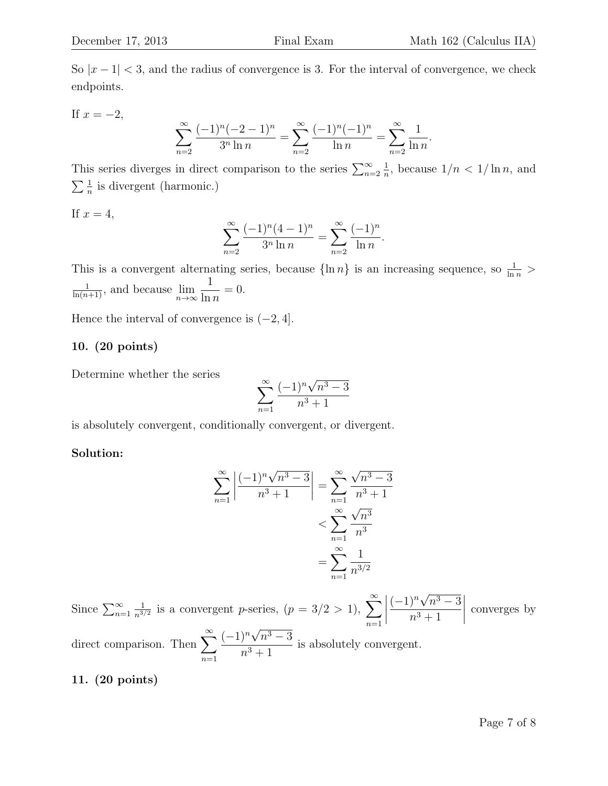So  $|x-1| < 3$ , and the radius of convergence is 3. For the interval of convergence, we check endpoints.

If 
$$
x = -2
$$
,

$$
\sum_{n=2}^{\infty} \frac{(-1)^n (-2-1)^n}{3^n \ln n} = \sum_{n=2}^{\infty} \frac{(-1)^n (-1)^n}{\ln n} = \sum_{n=2}^{\infty} \frac{1}{\ln n}.
$$

This series diverges in direct comparison to the series  $\sum_{n=2}^{\infty}$ 1  $\frac{1}{n}$ , because  $1/n < 1/\ln n$ , and  $\sum \frac{1}{n}$  is divergent (harmonic.)

If  $x=4$ ,

$$
\sum_{n=2}^{\infty} \frac{(-1)^n (4-1)^n}{3^n \ln n} = \sum_{n=2}^{\infty} \frac{(-1)^n}{\ln n}.
$$

This is a convergent alternating series, because  $\{\ln n\}$  is an increasing sequence, so  $\frac{1}{\ln n}$  $\frac{1}{\ln(n+1)}$ , and because  $\lim_{n\to\infty}$ 1  $\ln n$  $= 0.$ 

Hence the interval of convergence is  $(-2, 4]$ .

### 10. (20 points)

Determine whether the series

$$
\sum_{n=1}^{\infty} \frac{(-1)^n \sqrt{n^3 - 3}}{n^3 + 1}
$$

is absolutely convergent, conditionally convergent, or divergent.

#### Solution:

$$
\sum_{n=1}^{\infty} \left| \frac{(-1)^n \sqrt{n^3 - 3}}{n^3 + 1} \right| = \sum_{n=1}^{\infty} \frac{\sqrt{n^3 - 3}}{n^3 + 1}
$$

$$
< \sum_{n=1}^{\infty} \frac{\sqrt{n^3}}{n^3}
$$

$$
= \sum_{n=1}^{\infty} \frac{1}{n^{3/2}}
$$

Since  $\sum_{n=1}^{\infty}$ 1  $\frac{1}{n^{3/2}}$  is a convergent *p*-series,  $(p = 3/2 > 1)$ ,  $\sum_{n=1}^{\infty}$ direct comparison. Then  $\sum_{n=1}^{\infty} \frac{(-1)^n \sqrt{n^3 - 3}}{n^3}$  is absolutely con  $(-1)^n$ √  $n^3-3$  $n^3 + 1$  $\begin{array}{c} \begin{array}{c} \begin{array}{c} \begin{array}{c} \end{array} \\ \end{array} \\ \begin{array}{c} \end{array} \end{array} \end{array} \end{array}$ converges by  $n=1$  $(-1)^n$ √  $n^3-3$  $\frac{n^3+1}{n^3+1}$  is absolutely convergent.

## 11. (20 points)